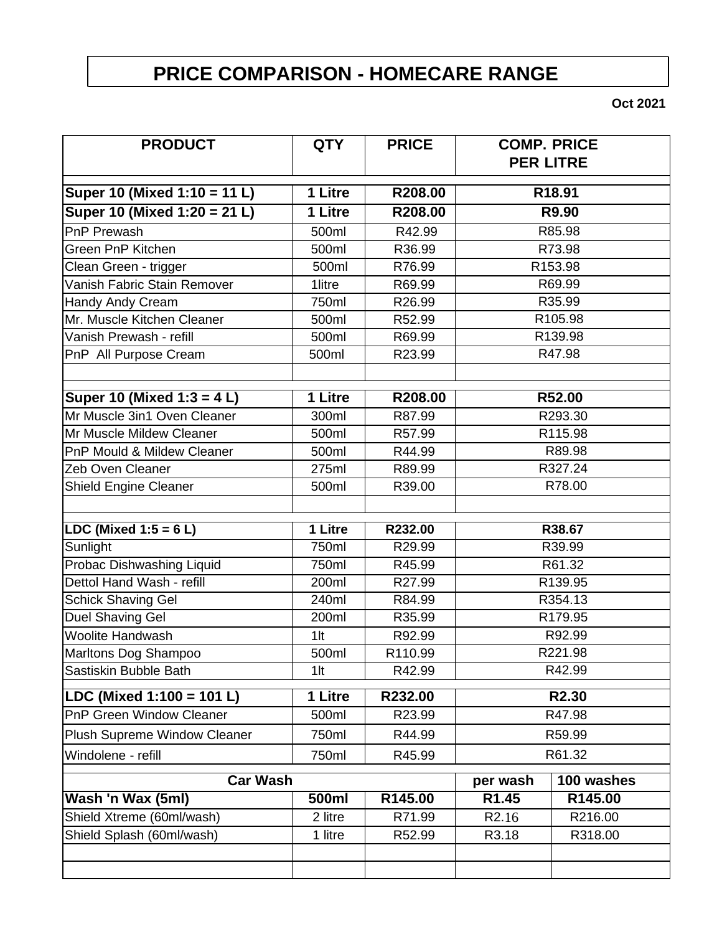## **PRICE COMPARISON - HOMECARE RANGE**

**Oct 2021**

| <b>PRODUCT</b>               | <b>QTY</b>    | <b>PRICE</b> | <b>COMP. PRICE</b> | <b>PER LITRE</b> |
|------------------------------|---------------|--------------|--------------------|------------------|
| Super 10 (Mixed 1:10 = 11 L) | 1 Litre       | R208.00      | R18.91             |                  |
| Super 10 (Mixed 1:20 = 21 L) | 1 Litre       | R208.00      | R9.90              |                  |
| <b>PnP Prewash</b>           | 500ml         | R42.99       | R85.98             |                  |
| Green PnP Kitchen            | 500ml         | R36.99       | R73.98             |                  |
| Clean Green - trigger        | 500ml         | R76.99       | R153.98            |                  |
| Vanish Fabric Stain Remover  | <b>1litre</b> | R69.99       | R69.99             |                  |
| <b>Handy Andy Cream</b>      | 750ml         | R26.99       | R35.99             |                  |
| Mr. Muscle Kitchen Cleaner   | 500ml         | R52.99       | R105.98            |                  |
| Vanish Prewash - refill      | 500ml         | R69.99       | R139.98            |                  |
| PnP All Purpose Cream        | 500ml         | R23.99       |                    | R47.98           |
| Super 10 (Mixed 1:3 = 4 L)   | 1 Litre       | R208.00      | R52.00             |                  |
| Mr Muscle 3in1 Oven Cleaner  | 300ml         | R87.99       | R293.30            |                  |
| Mr Muscle Mildew Cleaner     | 500ml         | R57.99       | R115.98            |                  |
| PnP Mould & Mildew Cleaner   | 500ml         | R44.99       | R89.98             |                  |
| Zeb Oven Cleaner             | 275ml         | R89.99       | R327.24            |                  |
| Shield Engine Cleaner        | 500ml         | R39.00       | R78.00             |                  |
|                              |               |              |                    |                  |
| LDC (Mixed $1:5 = 6 L$ )     | 1 Litre       | R232.00      | R38.67             |                  |
| Sunlight                     | 750ml         | R29.99       | R39.99             |                  |
| Probac Dishwashing Liquid    | 750ml         | R45.99       | R61.32             |                  |
| Dettol Hand Wash - refill    | 200ml         | R27.99       | R139.95            |                  |
| <b>Schick Shaving Gel</b>    | 240ml         | R84.99       | R354.13            |                  |
| Duel Shaving Gel             | 200ml         | R35.99       | R179.95            |                  |
| <b>Woolite Handwash</b>      | $1$ lt        | R92.99       | R92.99             |                  |
| Marltons Dog Shampoo         | 500ml         | R110.99      | R221.98            |                  |
| Sastiskin Bubble Bath        | $1$ lt        | R42.99       | R42.99             |                  |
| LDC (Mixed 1:100 = 101 L)    | 1 Litre       | R232.00      | R2.30              |                  |
| PnP Green Window Cleaner     | 500ml         | R23.99       | R47.98             |                  |
| Plush Supreme Window Cleaner | 750ml         | R44.99       | R59.99             |                  |
| Windolene - refill           | 750ml         | R45.99       | R61.32             |                  |
| <b>Car Wash</b>              |               | per wash     | 100 washes         |                  |
| Wash 'n Wax (5ml)            | 500ml         | R145.00      | R1.45              | R145.00          |
| Shield Xtreme (60ml/wash)    | 2 litre       | R71.99       | R2.16              | R216.00          |
| Shield Splash (60ml/wash)    | 1 litre       | R52.99       | R3.18              | R318.00          |
|                              |               |              |                    |                  |
|                              |               |              |                    |                  |